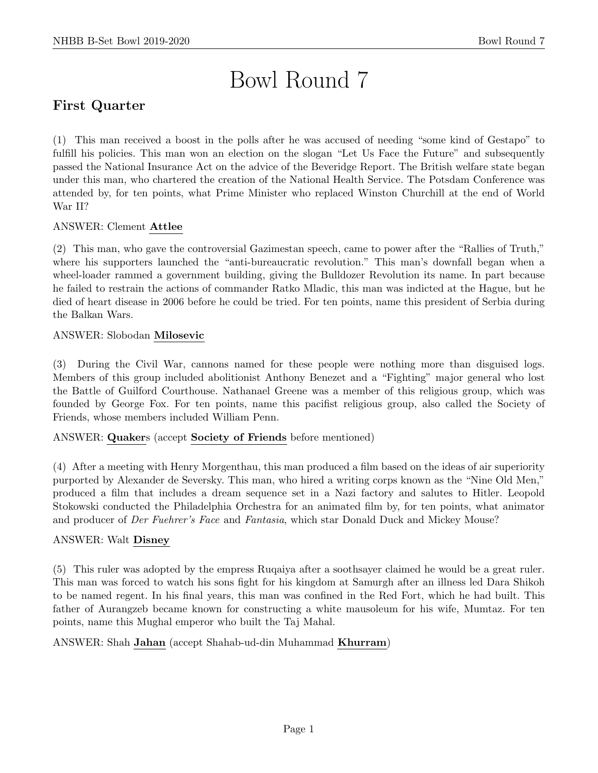# Bowl Round 7

# First Quarter

(1) This man received a boost in the polls after he was accused of needing "some kind of Gestapo" to fulfill his policies. This man won an election on the slogan "Let Us Face the Future" and subsequently passed the National Insurance Act on the advice of the Beveridge Report. The British welfare state began under this man, who chartered the creation of the National Health Service. The Potsdam Conference was attended by, for ten points, what Prime Minister who replaced Winston Churchill at the end of World War II?

#### ANSWER: Clement Attlee

(2) This man, who gave the controversial Gazimestan speech, came to power after the "Rallies of Truth," where his supporters launched the "anti-bureaucratic revolution." This man's downfall began when a wheel-loader rammed a government building, giving the Bulldozer Revolution its name. In part because he failed to restrain the actions of commander Ratko Mladic, this man was indicted at the Hague, but he died of heart disease in 2006 before he could be tried. For ten points, name this president of Serbia during the Balkan Wars.

# ANSWER: Slobodan Milosevic

(3) During the Civil War, cannons named for these people were nothing more than disguised logs. Members of this group included abolitionist Anthony Benezet and a "Fighting" major general who lost the Battle of Guilford Courthouse. Nathanael Greene was a member of this religious group, which was founded by George Fox. For ten points, name this pacifist religious group, also called the Society of Friends, whose members included William Penn.

#### ANSWER: Quakers (accept Society of Friends before mentioned)

(4) After a meeting with Henry Morgenthau, this man produced a film based on the ideas of air superiority purported by Alexander de Seversky. This man, who hired a writing corps known as the "Nine Old Men," produced a film that includes a dream sequence set in a Nazi factory and salutes to Hitler. Leopold Stokowski conducted the Philadelphia Orchestra for an animated film by, for ten points, what animator and producer of *Der Fuehrer's Face* and *Fantasia*, which star Donald Duck and Mickey Mouse?

#### ANSWER: Walt Disney

(5) This ruler was adopted by the empress Ruqaiya after a soothsayer claimed he would be a great ruler. This man was forced to watch his sons fight for his kingdom at Samurgh after an illness led Dara Shikoh to be named regent. In his final years, this man was confined in the Red Fort, which he had built. This father of Aurangzeb became known for constructing a white mausoleum for his wife, Mumtaz. For ten points, name this Mughal emperor who built the Taj Mahal.

#### ANSWER: Shah Jahan (accept Shahab-ud-din Muhammad Khurram)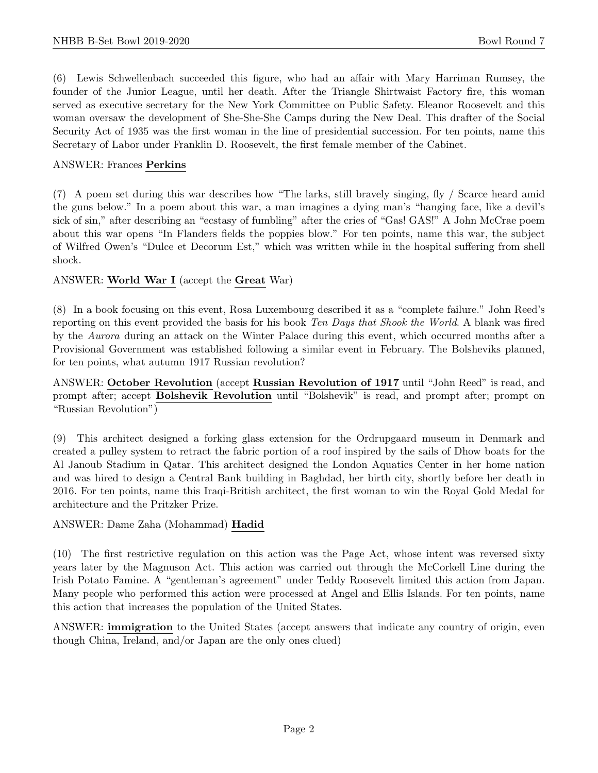(6) Lewis Schwellenbach succeeded this figure, who had an affair with Mary Harriman Rumsey, the founder of the Junior League, until her death. After the Triangle Shirtwaist Factory fire, this woman served as executive secretary for the New York Committee on Public Safety. Eleanor Roosevelt and this woman oversaw the development of She-She-She Camps during the New Deal. This drafter of the Social Security Act of 1935 was the first woman in the line of presidential succession. For ten points, name this Secretary of Labor under Franklin D. Roosevelt, the first female member of the Cabinet.

#### ANSWER: Frances Perkins

(7) A poem set during this war describes how "The larks, still bravely singing, fly / Scarce heard amid the guns below." In a poem about this war, a man imagines a dying man's "hanging face, like a devil's sick of sin," after describing an "ecstasy of fumbling" after the cries of "Gas! GAS!" A John McCrae poem about this war opens "In Flanders fields the poppies blow." For ten points, name this war, the subject of Wilfred Owen's "Dulce et Decorum Est," which was written while in the hospital suffering from shell shock.

#### ANSWER: World War I (accept the Great War)

(8) In a book focusing on this event, Rosa Luxembourg described it as a "complete failure." John Reed's reporting on this event provided the basis for his book Ten Days that Shook the World. A blank was fired by the Aurora during an attack on the Winter Palace during this event, which occurred months after a Provisional Government was established following a similar event in February. The Bolsheviks planned, for ten points, what autumn 1917 Russian revolution?

ANSWER: October Revolution (accept Russian Revolution of 1917 until "John Reed" is read, and prompt after; accept Bolshevik Revolution until "Bolshevik" is read, and prompt after; prompt on "Russian Revolution")

(9) This architect designed a forking glass extension for the Ordrupgaard museum in Denmark and created a pulley system to retract the fabric portion of a roof inspired by the sails of Dhow boats for the Al Janoub Stadium in Qatar. This architect designed the London Aquatics Center in her home nation and was hired to design a Central Bank building in Baghdad, her birth city, shortly before her death in 2016. For ten points, name this Iraqi-British architect, the first woman to win the Royal Gold Medal for architecture and the Pritzker Prize.

#### ANSWER: Dame Zaha (Mohammad) Hadid

(10) The first restrictive regulation on this action was the Page Act, whose intent was reversed sixty years later by the Magnuson Act. This action was carried out through the McCorkell Line during the Irish Potato Famine. A "gentleman's agreement" under Teddy Roosevelt limited this action from Japan. Many people who performed this action were processed at Angel and Ellis Islands. For ten points, name this action that increases the population of the United States.

ANSWER: immigration to the United States (accept answers that indicate any country of origin, even though China, Ireland, and/or Japan are the only ones clued)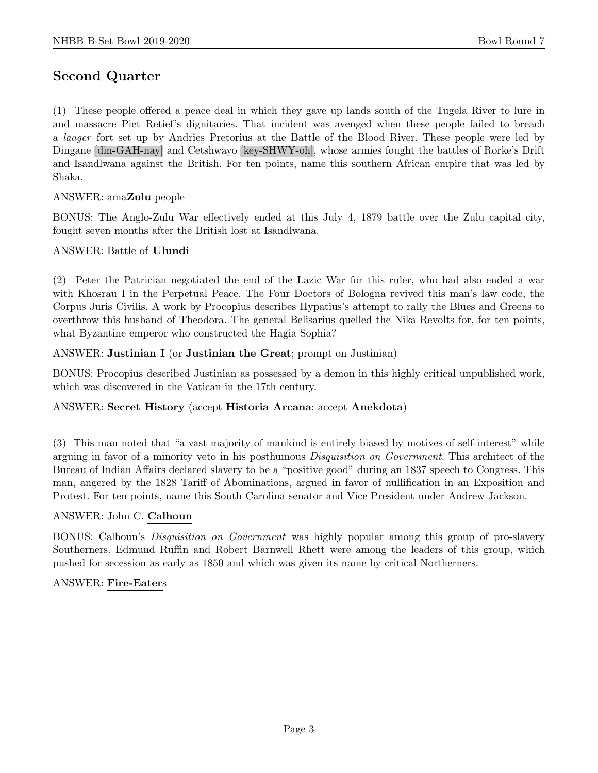# Second Quarter

(1) These people offered a peace deal in which they gave up lands south of the Tugela River to lure in and massacre Piet Retief's dignitaries. That incident was avenged when these people failed to breach a laager fort set up by Andries Pretorius at the Battle of the Blood River. These people were led by Dingane [din-GAH-nay] and Cetshwayo [key-SHWY-oh], whose armies fought the battles of Rorke's Drift and Isandlwana against the British. For ten points, name this southern African empire that was led by Shaka.

# ANSWER: amaZulu people

BONUS: The Anglo-Zulu War effectively ended at this July 4, 1879 battle over the Zulu capital city, fought seven months after the British lost at Isandlwana.

#### ANSWER: Battle of Ulundi

(2) Peter the Patrician negotiated the end of the Lazic War for this ruler, who had also ended a war with Khosrau I in the Perpetual Peace. The Four Doctors of Bologna revived this man's law code, the Corpus Juris Civilis. A work by Procopius describes Hypatius's attempt to rally the Blues and Greens to overthrow this husband of Theodora. The general Belisarius quelled the Nika Revolts for, for ten points, what Byzantine emperor who constructed the Hagia Sophia?

#### ANSWER: Justinian I (or Justinian the Great; prompt on Justinian)

BONUS: Procopius described Justinian as possessed by a demon in this highly critical unpublished work, which was discovered in the Vatican in the 17th century.

#### ANSWER: Secret History (accept Historia Arcana; accept Anekdota)

(3) This man noted that "a vast majority of mankind is entirely biased by motives of self-interest" while arguing in favor of a minority veto in his posthumous Disquisition on Government. This architect of the Bureau of Indian Affairs declared slavery to be a "positive good" during an 1837 speech to Congress. This man, angered by the 1828 Tariff of Abominations, argued in favor of nullification in an Exposition and Protest. For ten points, name this South Carolina senator and Vice President under Andrew Jackson.

#### ANSWER: John C. Calhoun

BONUS: Calhoun's Disquisition on Government was highly popular among this group of pro-slavery Southerners. Edmund Ruffin and Robert Barnwell Rhett were among the leaders of this group, which pushed for secession as early as 1850 and which was given its name by critical Northerners.

#### ANSWER: Fire-Eaters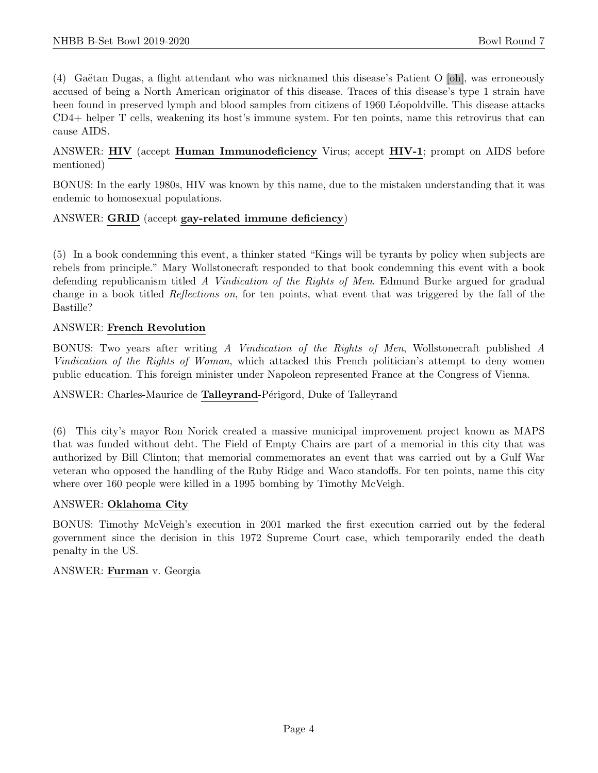$(4)$  Gaëtan Dugas, a flight attendant who was nicknamed this disease's Patient O [oh], was erroneously accused of being a North American originator of this disease. Traces of this disease's type 1 strain have been found in preserved lymph and blood samples from citizens of 1960 Léopoldville. This disease attacks CD4+ helper T cells, weakening its host's immune system. For ten points, name this retrovirus that can cause AIDS.

ANSWER: HIV (accept Human Immunodeficiency Virus; accept HIV-1; prompt on AIDS before mentioned)

BONUS: In the early 1980s, HIV was known by this name, due to the mistaken understanding that it was endemic to homosexual populations.

#### ANSWER: GRID (accept gay-related immune deficiency)

(5) In a book condemning this event, a thinker stated "Kings will be tyrants by policy when subjects are rebels from principle." Mary Wollstonecraft responded to that book condemning this event with a book defending republicanism titled A Vindication of the Rights of Men. Edmund Burke argued for gradual change in a book titled Reflections on, for ten points, what event that was triggered by the fall of the Bastille?

#### ANSWER: French Revolution

BONUS: Two years after writing A Vindication of the Rights of Men, Wollstonecraft published A Vindication of the Rights of Woman, which attacked this French politician's attempt to deny women public education. This foreign minister under Napoleon represented France at the Congress of Vienna.

ANSWER: Charles-Maurice de Talleyrand-Périgord, Duke of Talleyrand

(6) This city's mayor Ron Norick created a massive municipal improvement project known as MAPS that was funded without debt. The Field of Empty Chairs are part of a memorial in this city that was authorized by Bill Clinton; that memorial commemorates an event that was carried out by a Gulf War veteran who opposed the handling of the Ruby Ridge and Waco standoffs. For ten points, name this city where over 160 people were killed in a 1995 bombing by Timothy McVeigh.

#### ANSWER: Oklahoma City

BONUS: Timothy McVeigh's execution in 2001 marked the first execution carried out by the federal government since the decision in this 1972 Supreme Court case, which temporarily ended the death penalty in the US.

#### ANSWER: Furman v. Georgia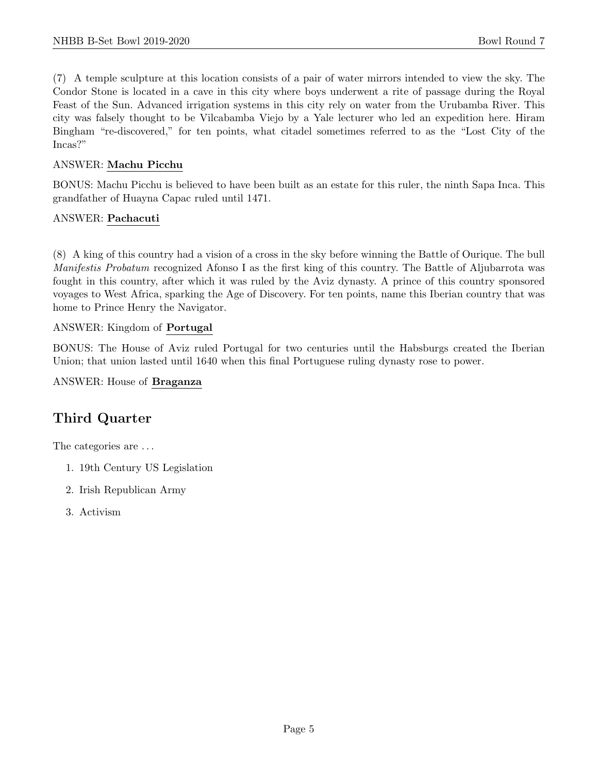(7) A temple sculpture at this location consists of a pair of water mirrors intended to view the sky. The Condor Stone is located in a cave in this city where boys underwent a rite of passage during the Royal Feast of the Sun. Advanced irrigation systems in this city rely on water from the Urubamba River. This city was falsely thought to be Vilcabamba Viejo by a Yale lecturer who led an expedition here. Hiram Bingham "re-discovered," for ten points, what citadel sometimes referred to as the "Lost City of the Incas?"

#### ANSWER: Machu Picchu

BONUS: Machu Picchu is believed to have been built as an estate for this ruler, the ninth Sapa Inca. This grandfather of Huayna Capac ruled until 1471.

#### ANSWER: Pachacuti

(8) A king of this country had a vision of a cross in the sky before winning the Battle of Ourique. The bull Manifestis Probatum recognized Afonso I as the first king of this country. The Battle of Aljubarrota was fought in this country, after which it was ruled by the Aviz dynasty. A prince of this country sponsored voyages to West Africa, sparking the Age of Discovery. For ten points, name this Iberian country that was home to Prince Henry the Navigator.

#### ANSWER: Kingdom of Portugal

BONUS: The House of Aviz ruled Portugal for two centuries until the Habsburgs created the Iberian Union; that union lasted until 1640 when this final Portuguese ruling dynasty rose to power.

ANSWER: House of Braganza

# Third Quarter

The categories are ...

- 1. 19th Century US Legislation
- 2. Irish Republican Army
- 3. Activism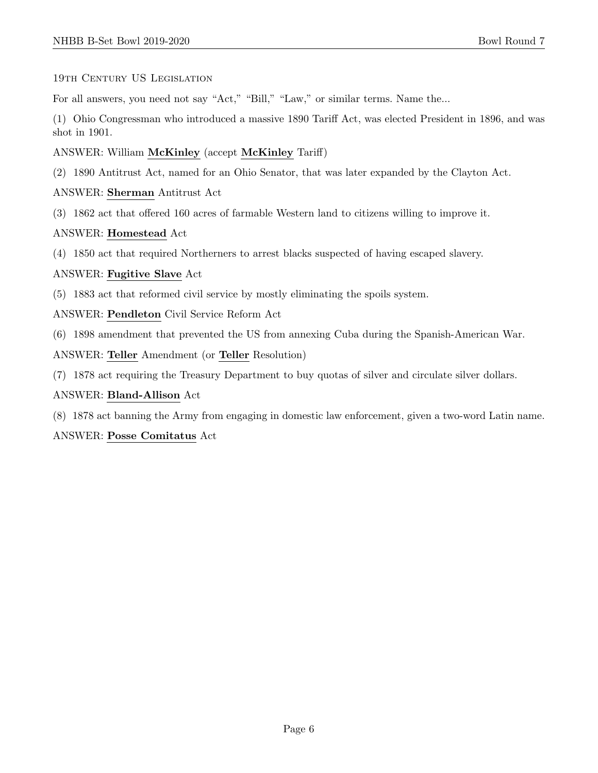#### 19th CENTURY US LEGISLATION

For all answers, you need not say "Act," "Bill," "Law," or similar terms. Name the...

(1) Ohio Congressman who introduced a massive 1890 Tariff Act, was elected President in 1896, and was shot in 1901.

#### ANSWER: William McKinley (accept McKinley Tariff)

(2) 1890 Antitrust Act, named for an Ohio Senator, that was later expanded by the Clayton Act.

#### ANSWER: Sherman Antitrust Act

(3) 1862 act that offered 160 acres of farmable Western land to citizens willing to improve it.

#### ANSWER: Homestead Act

(4) 1850 act that required Northerners to arrest blacks suspected of having escaped slavery.

#### ANSWER: Fugitive Slave Act

(5) 1883 act that reformed civil service by mostly eliminating the spoils system.

ANSWER: Pendleton Civil Service Reform Act

(6) 1898 amendment that prevented the US from annexing Cuba during the Spanish-American War.

ANSWER: Teller Amendment (or Teller Resolution)

(7) 1878 act requiring the Treasury Department to buy quotas of silver and circulate silver dollars.

#### ANSWER: Bland-Allison Act

(8) 1878 act banning the Army from engaging in domestic law enforcement, given a two-word Latin name.

#### ANSWER: Posse Comitatus Act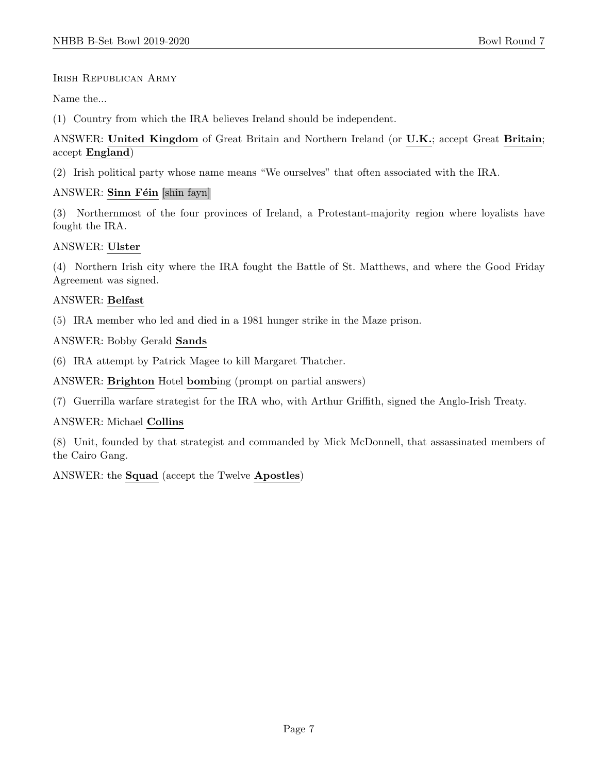#### Irish Republican Army

Name the...

(1) Country from which the IRA believes Ireland should be independent.

# ANSWER: United Kingdom of Great Britain and Northern Ireland (or U.K.; accept Great Britain; accept England)

(2) Irish political party whose name means "We ourselves" that often associated with the IRA.

# ANSWER: Sinn Féin [shin fayn]

(3) Northernmost of the four provinces of Ireland, a Protestant-majority region where loyalists have fought the IRA.

# ANSWER: Ulster

(4) Northern Irish city where the IRA fought the Battle of St. Matthews, and where the Good Friday Agreement was signed.

# ANSWER: Belfast

(5) IRA member who led and died in a 1981 hunger strike in the Maze prison.

ANSWER: Bobby Gerald Sands

(6) IRA attempt by Patrick Magee to kill Margaret Thatcher.

ANSWER: Brighton Hotel bombing (prompt on partial answers)

(7) Guerrilla warfare strategist for the IRA who, with Arthur Griffith, signed the Anglo-Irish Treaty.

#### ANSWER: Michael Collins

(8) Unit, founded by that strategist and commanded by Mick McDonnell, that assassinated members of the Cairo Gang.

ANSWER: the Squad (accept the Twelve Apostles)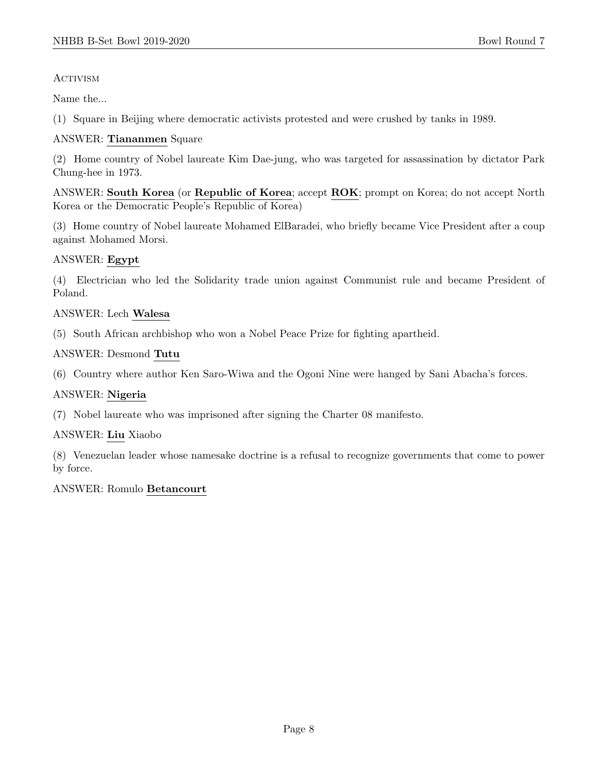# **ACTIVISM**

Name the...

(1) Square in Beijing where democratic activists protested and were crushed by tanks in 1989.

# ANSWER: Tiananmen Square

(2) Home country of Nobel laureate Kim Dae-jung, who was targeted for assassination by dictator Park Chung-hee in 1973.

ANSWER: South Korea (or Republic of Korea; accept ROK; prompt on Korea; do not accept North Korea or the Democratic People's Republic of Korea)

(3) Home country of Nobel laureate Mohamed ElBaradei, who briefly became Vice President after a coup against Mohamed Morsi.

# ANSWER: Egypt

(4) Electrician who led the Solidarity trade union against Communist rule and became President of Poland.

# ANSWER: Lech Walesa

(5) South African archbishop who won a Nobel Peace Prize for fighting apartheid.

#### ANSWER: Desmond Tutu

(6) Country where author Ken Saro-Wiwa and the Ogoni Nine were hanged by Sani Abacha's forces.

#### ANSWER: Nigeria

(7) Nobel laureate who was imprisoned after signing the Charter 08 manifesto.

#### ANSWER: Liu Xiaobo

(8) Venezuelan leader whose namesake doctrine is a refusal to recognize governments that come to power by force.

#### ANSWER: Romulo Betancourt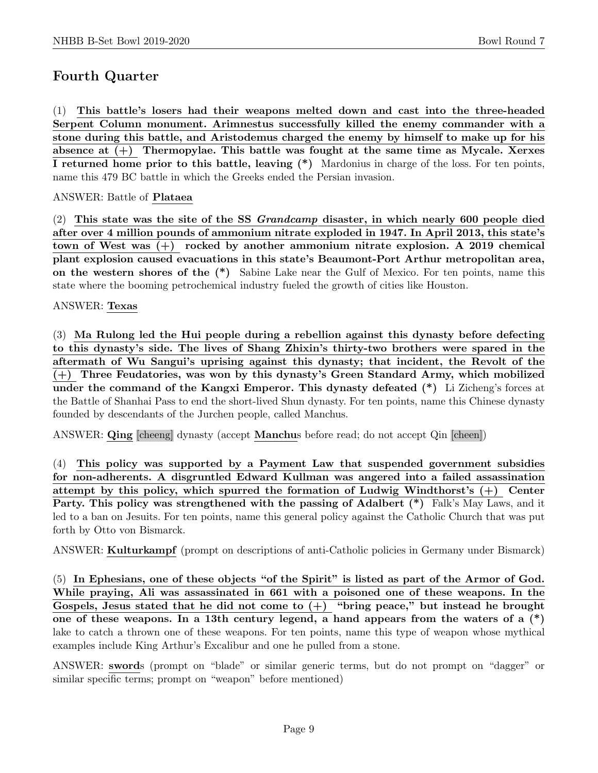# Fourth Quarter

(1) This battle's losers had their weapons melted down and cast into the three-headed Serpent Column monument. Arimnestus successfully killed the enemy commander with a stone during this battle, and Aristodemus charged the enemy by himself to make up for his absence at (+) Thermopylae. This battle was fought at the same time as Mycale. Xerxes I returned home prior to this battle, leaving (\*) Mardonius in charge of the loss. For ten points, name this 479 BC battle in which the Greeks ended the Persian invasion.

ANSWER: Battle of Plataea

(2) This state was the site of the SS Grandcamp disaster, in which nearly 600 people died after over 4 million pounds of ammonium nitrate exploded in 1947. In April 2013, this state's town of West was (+) rocked by another ammonium nitrate explosion. A 2019 chemical plant explosion caused evacuations in this state's Beaumont-Port Arthur metropolitan area, on the western shores of the (\*) Sabine Lake near the Gulf of Mexico. For ten points, name this state where the booming petrochemical industry fueled the growth of cities like Houston.

#### ANSWER: Texas

(3) Ma Rulong led the Hui people during a rebellion against this dynasty before defecting to this dynasty's side. The lives of Shang Zhixin's thirty-two brothers were spared in the aftermath of Wu Sangui's uprising against this dynasty; that incident, the Revolt of the (+) Three Feudatories, was won by this dynasty's Green Standard Army, which mobilized under the command of the Kangxi Emperor. This dynasty defeated (\*) Li Zicheng's forces at the Battle of Shanhai Pass to end the short-lived Shun dynasty. For ten points, name this Chinese dynasty founded by descendants of the Jurchen people, called Manchus.

ANSWER: Qing [cheeng] dynasty (accept Manchus before read; do not accept Qin [cheen])

(4) This policy was supported by a Payment Law that suspended government subsidies for non-adherents. A disgruntled Edward Kullman was angered into a failed assassination attempt by this policy, which spurred the formation of Ludwig Windthorst's (+) Center Party. This policy was strengthened with the passing of Adalbert  $(*)$  Falk's May Laws, and it led to a ban on Jesuits. For ten points, name this general policy against the Catholic Church that was put forth by Otto von Bismarck.

ANSWER: Kulturkampf (prompt on descriptions of anti-Catholic policies in Germany under Bismarck)

(5) In Ephesians, one of these objects "of the Spirit" is listed as part of the Armor of God. While praying, Ali was assassinated in 661 with a poisoned one of these weapons. In the Gospels, Jesus stated that he did not come to  $(+)$  "bring peace," but instead he brought one of these weapons. In a 13th century legend, a hand appears from the waters of a  $(*)$ lake to catch a thrown one of these weapons. For ten points, name this type of weapon whose mythical examples include King Arthur's Excalibur and one he pulled from a stone.

ANSWER: swords (prompt on "blade" or similar generic terms, but do not prompt on "dagger" or similar specific terms; prompt on "weapon" before mentioned)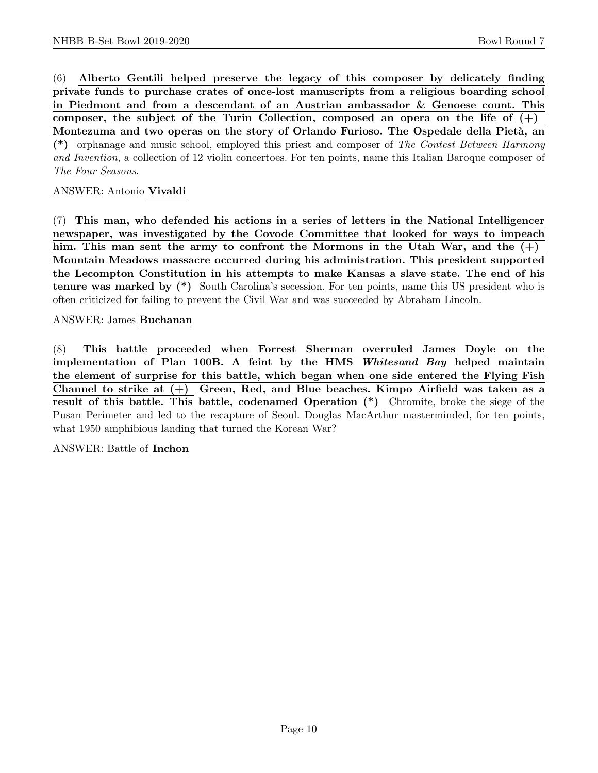(6) Alberto Gentili helped preserve the legacy of this composer by delicately finding private funds to purchase crates of once-lost manuscripts from a religious boarding school in Piedmont and from a descendant of an Austrian ambassador & Genoese count. This composer, the subject of the Turin Collection, composed an opera on the life of  $(+)$ Montezuma and two operas on the story of Orlando Furioso. The Ospedale della Pietà, an (\*) orphanage and music school, employed this priest and composer of The Contest Between Harmony and Invention, a collection of 12 violin concertoes. For ten points, name this Italian Baroque composer of The Four Seasons.

ANSWER: Antonio Vivaldi

(7) This man, who defended his actions in a series of letters in the National Intelligencer newspaper, was investigated by the Covode Committee that looked for ways to impeach him. This man sent the army to confront the Mormons in the Utah War, and the  $(+)$ Mountain Meadows massacre occurred during his administration. This president supported the Lecompton Constitution in his attempts to make Kansas a slave state. The end of his tenure was marked by (\*) South Carolina's secession. For ten points, name this US president who is often criticized for failing to prevent the Civil War and was succeeded by Abraham Lincoln.

ANSWER: James Buchanan

(8) This battle proceeded when Forrest Sherman overruled James Doyle on the implementation of Plan 100B. A feint by the HMS Whitesand Bay helped maintain the element of surprise for this battle, which began when one side entered the Flying Fish Channel to strike at (+) Green, Red, and Blue beaches. Kimpo Airfield was taken as a result of this battle. This battle, codenamed Operation (\*) Chromite, broke the siege of the Pusan Perimeter and led to the recapture of Seoul. Douglas MacArthur masterminded, for ten points, what 1950 amphibious landing that turned the Korean War?

ANSWER: Battle of Inchon